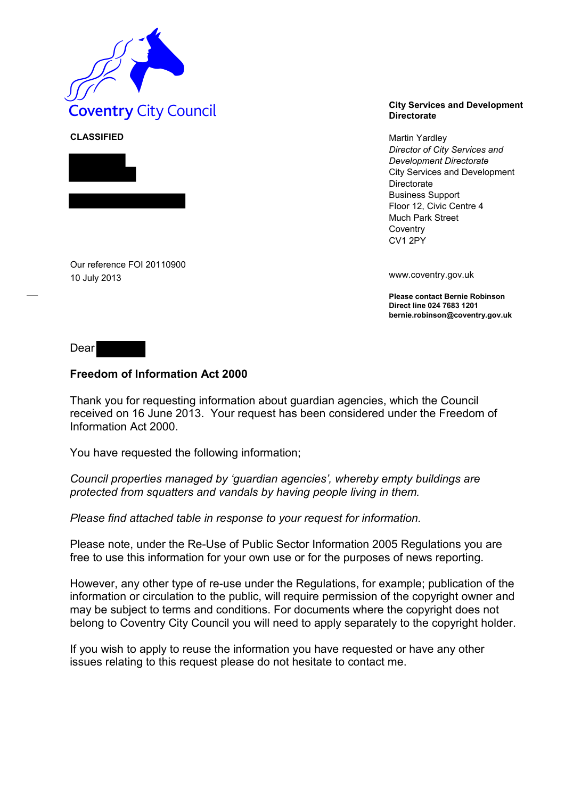

**CLASSIFIED** Martin Yardley



Our reference FOI 20110900 10 July 2013

## **Directorate**

*Director of City Services and Development Directorate* City Services and Development Directorate Business Support Floor 12, Civic Centre 4 Much Park Street **Coventry** CV1 2PY

www.coventry.gov.uk

**Please contact Bernie Robinson Direct line 024 7683 1201 bernie.robinson@coventry.gov.uk**

Dear

## **Freedom of Information Act 2000**

Thank you for requesting information about guardian agencies, which the Council received on 16 June 2013. Your request has been considered under the Freedom of Information Act 2000.

You have requested the following information;

*Council properties managed by 'guardian agencies', whereby empty buildings are protected from squatters and vandals by having people living in them.*

*Please find attached table in response to your request for information.*

Please note, under the Re-Use of Public Sector Information 2005 Regulations you are free to use this information for your own use or for the purposes of news reporting.

However, any other type of re-use under the Regulations, for example; publication of the information or circulation to the public, will require permission of the copyright owner and may be subject to terms and conditions. For documents where the copyright does not belong to Coventry City Council you will need to apply separately to the copyright holder.

If you wish to apply to reuse the information you have requested or have any other issues relating to this request please do not hesitate to contact me.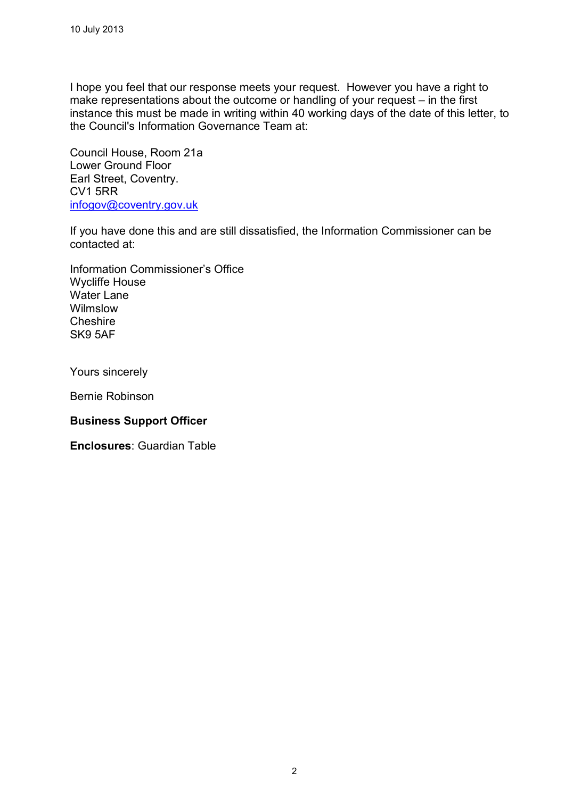I hope you feel that our response meets your request. However you have a right to make representations about the outcome or handling of your request – in the first instance this must be made in writing within 40 working days of the date of this letter, to the Council's Information Governance Team at:

Council House, Room 21a Lower Ground Floor Earl Street, Coventry. CV1 5RR [infogov@coventry.gov.uk](mailto:infogov@coventry.gov.uk)

If you have done this and are still dissatisfied, the Information Commissioner can be contacted at:

Information Commissioner's Office Wycliffe House Water Lane Wilmslow **Cheshire** SK9 5AF

Yours sincerely

Bernie Robinson

## **Business Support Officer**

**Enclosures**: Guardian Table